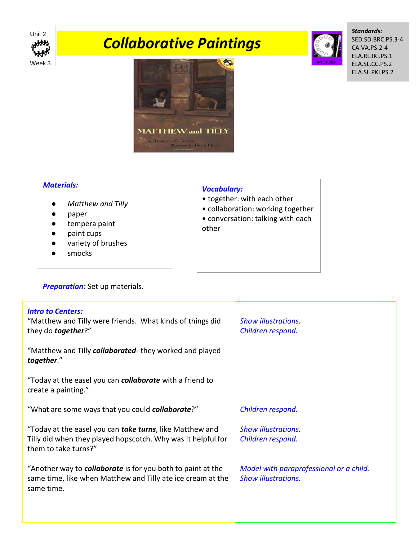

# *Collaborative Paintings*



*Standards:*  SED.SD.BRC.PS.3-4 CA.VA.PS.2-4 ELA.RL.IKI.PS.1 ELA.SL.CC.PS.2 ELA.SL.PKI.PS.2



#### *Materials:*

- *Matthew and Tilly*
- paper
- tempera paint
- paint cups
- variety of brushes
- smocks

## **Preparation:** Set up materials.

### *Vocabulary:*

- together: with each other
- collaboration: working together
- conversation: talking with each other

| <b>Intro to Centers:</b><br>"Matthew and Tilly were friends. What kinds of things did<br>they do <b>together</b> ?"                                      | <b>Show illustrations.</b><br>Children respond.                       |
|----------------------------------------------------------------------------------------------------------------------------------------------------------|-----------------------------------------------------------------------|
| "Matthew and Tilly collaborated- they worked and played<br>together."                                                                                    |                                                                       |
| "Today at the easel you can <b>collaborate</b> with a friend to<br>create a painting."                                                                   |                                                                       |
| "What are some ways that you could <b>collaborate</b> ?"                                                                                                 | Children respond.                                                     |
| "Today at the easel you can <b>take turns</b> , like Matthew and<br>Tilly did when they played hopscotch. Why was it helpful for<br>them to take turns?" | <b>Show illustrations.</b><br>Children respond.                       |
| "Another way to <b>collaborate</b> is for you both to paint at the<br>same time, like when Matthew and Tilly ate ice cream at the<br>same time.          | Model with paraprofessional or a child.<br><b>Show illustrations.</b> |
|                                                                                                                                                          |                                                                       |